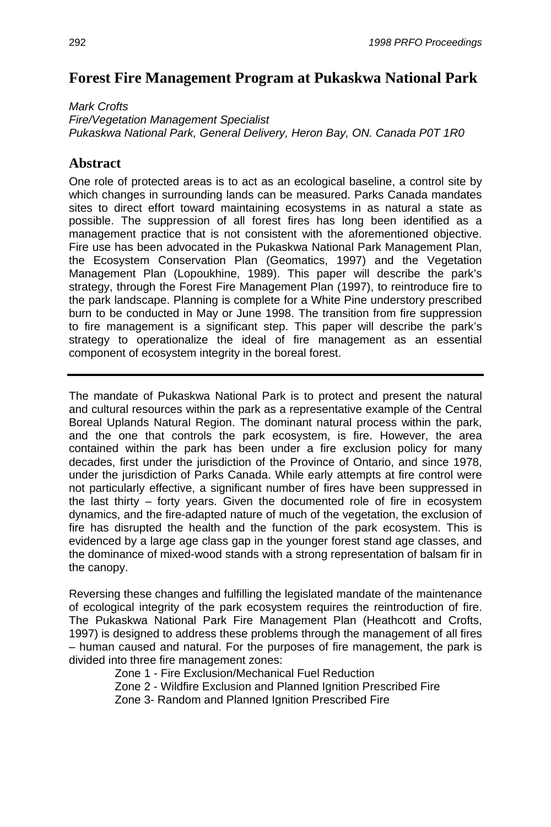## **Forest Fire Management Program at Pukaskwa National Park**

*Mark Crofts Fire/Vegetation Management Specialist Pukaskwa National Park, General Delivery, Heron Bay, ON. Canada P0T 1R0*

## **Abstract**

One role of protected areas is to act as an ecological baseline, a control site by which changes in surrounding lands can be measured. Parks Canada mandates sites to direct effort toward maintaining ecosystems in as natural a state as possible. The suppression of all forest fires has long been identified as a management practice that is not consistent with the aforementioned objective. Fire use has been advocated in the Pukaskwa National Park Management Plan, the Ecosystem Conservation Plan (Geomatics, 1997) and the Vegetation Management Plan (Lopoukhine, 1989). This paper will describe the park's strategy, through the Forest Fire Management Plan (1997), to reintroduce fire to the park landscape. Planning is complete for a White Pine understory prescribed burn to be conducted in May or June 1998. The transition from fire suppression to fire management is a significant step. This paper will describe the park's strategy to operationalize the ideal of fire management as an essential component of ecosystem integrity in the boreal forest.

The mandate of Pukaskwa National Park is to protect and present the natural and cultural resources within the park as a representative example of the Central Boreal Uplands Natural Region. The dominant natural process within the park, and the one that controls the park ecosystem, is fire. However, the area contained within the park has been under a fire exclusion policy for many decades, first under the jurisdiction of the Province of Ontario, and since 1978, under the jurisdiction of Parks Canada. While early attempts at fire control were not particularly effective, a significant number of fires have been suppressed in the last thirty – forty years. Given the documented role of fire in ecosystem dynamics, and the fire-adapted nature of much of the vegetation, the exclusion of fire has disrupted the health and the function of the park ecosystem. This is evidenced by a large age class gap in the younger forest stand age classes, and the dominance of mixed-wood stands with a strong representation of balsam fir in the canopy.

Reversing these changes and fulfilling the legislated mandate of the maintenance of ecological integrity of the park ecosystem requires the reintroduction of fire. The Pukaskwa National Park Fire Management Plan (Heathcott and Crofts, 1997) is designed to address these problems through the management of all fires – human caused and natural. For the purposes of fire management, the park is divided into three fire management zones:

Zone 1 - Fire Exclusion/Mechanical Fuel Reduction

Zone 2 - Wildfire Exclusion and Planned Ignition Prescribed Fire

Zone 3- Random and Planned Ignition Prescribed Fire